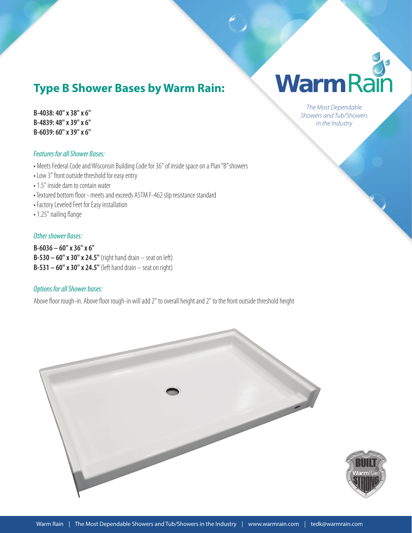## **Type B Shower Bases by Warm Rain:**

**B-4038: 40" x 38" x 6" B-4839: 48" x 39" x 6" B-6039: 60" x 39" x 6"**

#### *Features for all Shower Bases:*

• Meets Federal Code and Wisconsin Building Code for 36" of inside space on a Plan "B" showers

- Low 3" front outside threshold for easy entry
- 1.5" inside dam to contain water
- Textured bottom floor meets and exceeds ASTM F-462 slip resistance standard
- Factory Leveled Feet for Easy installation
- 1.25" nailing flange

#### *Other shower Bases:*

**B-6036 – 60" x 36" x 6" B-530 – 60" x 30" x 24.5"** (right hand drain – seat on left) **B-531 – 60" x 30" x 24.5"** (left hand drain – seat on right)

### *Options for all Shower bases:*

Above floor rough-in. Above floor rough-in will add 2" to overall height and 2" to the front outside threshold height



# Jo WarmRain

*The Most Dependable Showers and Tub/Showers in the Industry*